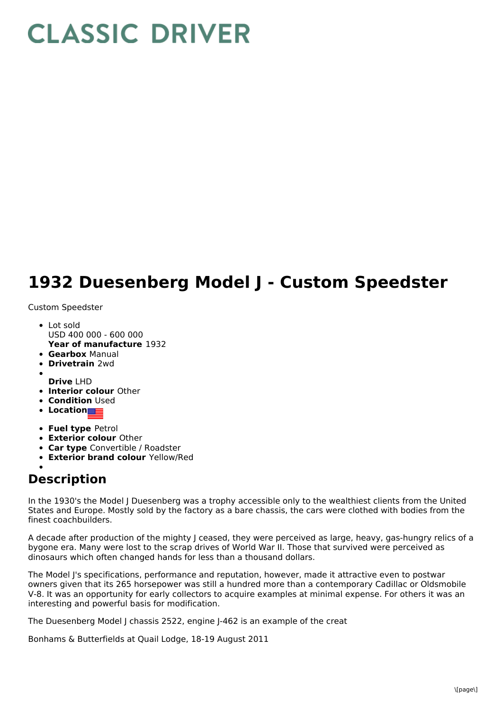## **CLASSIC DRIVER**

## **1932 Duesenberg Model J - Custom Speedster**

Custom Speedster

- **Year of manufacture** 1932 Lot sold USD 400 000 - 600 000
- **Gearbox** Manual
- **Drivetrain** 2wd
- **Drive** LHD
- **Interior colour** Other
- **Condition** Used
- **Location**
- **Fuel type** Petrol
- **Exterior colour** Other
- **Car type** Convertible / Roadster
- **Exterior brand colour** Yellow/Red

## **Description**

In the 1930's the Model J Duesenberg was a trophy accessible only to the wealthiest clients from the United States and Europe. Mostly sold by the factory as a bare chassis, the cars were clothed with bodies from the finest coachbuilders.

A decade after production of the mighty J ceased, they were perceived as large, heavy, gas-hungry relics of a bygone era. Many were lost to the scrap drives of World War II. Those that survived were perceived as dinosaurs which often changed hands for less than a thousand dollars.

The Model J's specifications, performance and reputation, however, made it attractive even to postwar owners given that its 265 horsepower was still a hundred more than a contemporary Cadillac or Oldsmobile V-8. It was an opportunity for early collectors to acquire examples at minimal expense. For others it was an interesting and powerful basis for modification.

The Duesenberg Model J chassis 2522, engine J-462 is an example of the creat

Bonhams & Butterfields at Quail Lodge, 18-19 August 2011